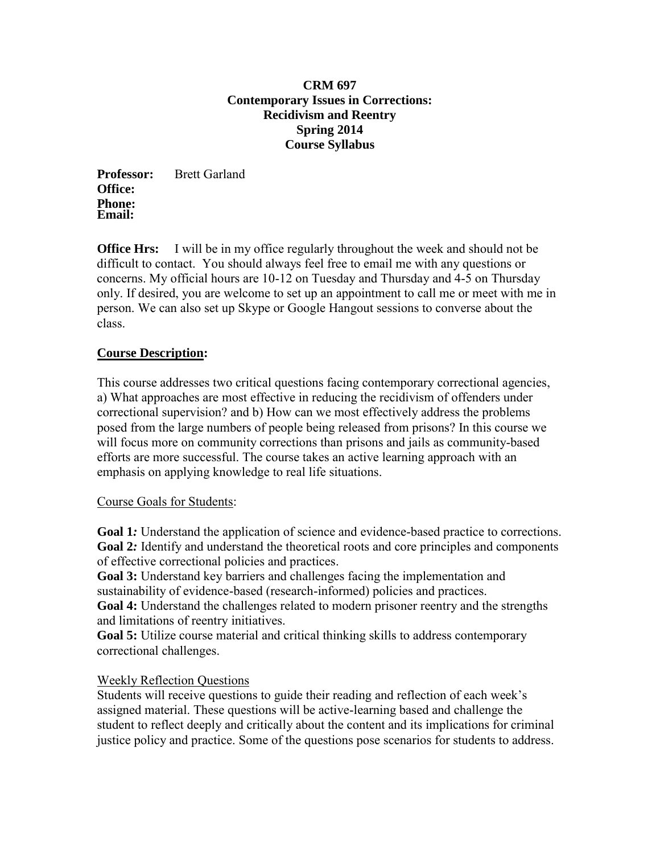#### **CRM 697 Contemporary Issues in Corrections: Recidivism and Reentry Spring 2014 Course Syllabus**

**Professor:** Brett Garland **Office: Phone: Email:** 

**Office Hrs:** I will be in my office regularly throughout the week and should not be difficult to contact. You should always feel free to email me with any questions or concerns. My official hours are 10-12 on Tuesday and Thursday and 4-5 on Thursday only. If desired, you are welcome to set up an appointment to call me or meet with me in person. We can also set up Skype or Google Hangout sessions to converse about the class.

# **Course Description:**

This course addresses two critical questions facing contemporary correctional agencies, a) What approaches are most effective in reducing the recidivism of offenders under correctional supervision? and b) How can we most effectively address the problems posed from the large numbers of people being released from prisons? In this course we will focus more on community corrections than prisons and jails as community-based efforts are more successful. The course takes an active learning approach with an emphasis on applying knowledge to real life situations.

## Course Goals for Students:

**Goal 1***:* Understand the application of science and evidence-based practice to corrections. **Goal 2***:* Identify and understand the theoretical roots and core principles and components of effective correctional policies and practices.

**Goal 3:** Understand key barriers and challenges facing the implementation and sustainability of evidence-based (research-informed) policies and practices.

**Goal 4:** Understand the challenges related to modern prisoner reentry and the strengths and limitations of reentry initiatives.

**Goal 5:** Utilize course material and critical thinking skills to address contemporary correctional challenges.

## Weekly Reflection Questions

Students will receive questions to guide their reading and reflection of each week's assigned material. These questions will be active-learning based and challenge the student to reflect deeply and critically about the content and its implications for criminal justice policy and practice. Some of the questions pose scenarios for students to address.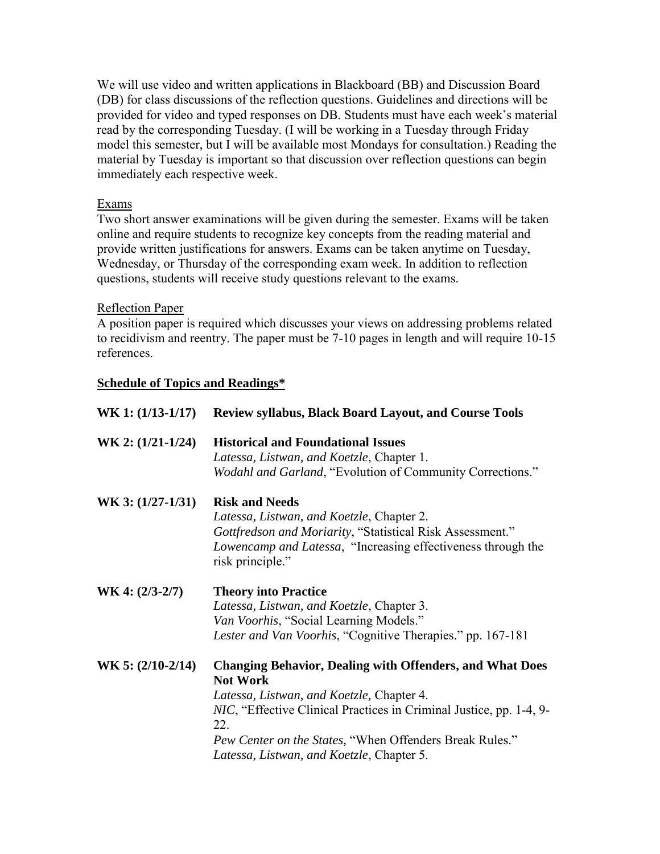We will use video and written applications in Blackboard (BB) and Discussion Board (DB) for class discussions of the reflection questions. Guidelines and directions will be provided for video and typed responses on DB. Students must have each week's material read by the corresponding Tuesday. (I will be working in a Tuesday through Friday model this semester, but I will be available most Mondays for consultation.) Reading the material by Tuesday is important so that discussion over reflection questions can begin immediately each respective week.

## Exams

Two short answer examinations will be given during the semester. Exams will be taken online and require students to recognize key concepts from the reading material and provide written justifications for answers. Exams can be taken anytime on Tuesday, Wednesday, or Thursday of the corresponding exam week. In addition to reflection questions, students will receive study questions relevant to the exams.

## Reflection Paper

A position paper is required which discusses your views on addressing problems related to recidivism and reentry. The paper must be 7-10 pages in length and will require 10-15 references.

## **Schedule of Topics and Readings\***

| $WK 1: (1/13-1/17)$ | <b>Review syllabus, Black Board Layout, and Course Tools</b>                                                                                                                                                                                                                                                                  |
|---------------------|-------------------------------------------------------------------------------------------------------------------------------------------------------------------------------------------------------------------------------------------------------------------------------------------------------------------------------|
| $WK 2: (1/21-1/24)$ | <b>Historical and Foundational Issues</b><br>Latessa, Listwan, and Koetzle, Chapter 1.<br><i>Wodahl and Garland</i> , "Evolution of Community Corrections."                                                                                                                                                                   |
| WK 3: (1/27-1/31)   | <b>Risk and Needs</b><br>Latessa, Listwan, and Koetzle, Chapter 2.<br>Gottfredson and Moriarity, "Statistical Risk Assessment."<br>Lowencamp and Latessa, "Increasing effectiveness through the<br>risk principle."                                                                                                           |
| $WK 4: (2/3-2/7)$   | <b>Theory into Practice</b><br>Latessa, Listwan, and Koetzle, Chapter 3.<br>Van Voorhis, "Social Learning Models."<br>Lester and Van Voorhis, "Cognitive Therapies." pp. 167-181                                                                                                                                              |
| $WK 5: (2/10-2/14)$ | <b>Changing Behavior, Dealing with Offenders, and What Does</b><br><b>Not Work</b><br>Latessa, Listwan, and Koetzle, Chapter 4.<br><i>NIC</i> , "Effective Clinical Practices in Criminal Justice, pp. 1-4, 9-<br>22.<br>Pew Center on the States, "When Offenders Break Rules."<br>Latessa, Listwan, and Koetzle, Chapter 5. |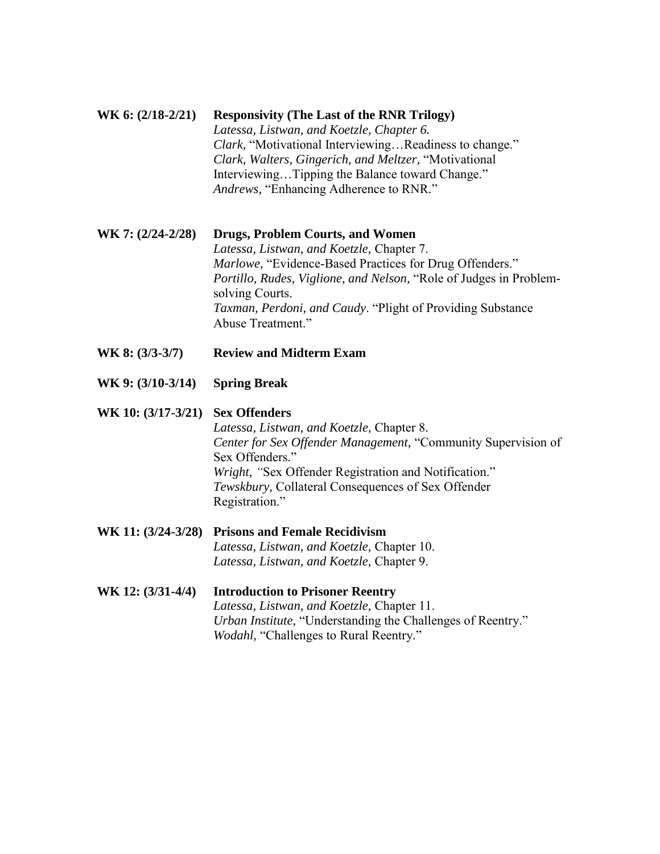## **WK 6: (2/18-2/21) Responsivity (The Last of the RNR Trilogy)** *Latessa, Listwan, and Koetzle, Chapter 6. Clark,* "Motivational Interviewing…Readiness to change." *Clark, Walters, Gingerich, and Meltzer,* "Motivational Interviewing…Tipping the Balance toward Change." *Andrews,* "Enhancing Adherence to RNR."

**WK 7: (2/24-2/28) Drugs, Problem Courts, and Women** 

*Latessa, Listwan, and Koetzle,* Chapter 7. *Marlowe,* "Evidence-Based Practices for Drug Offenders." *Portillo, Rudes, Viglione, and Nelson,* "Role of Judges in Problemsolving Courts. *Taxman, Perdoni, and Caudy*. "Plight of Providing Substance Abuse Treatment."

- **WK 8: (3/3-3/7) Review and Midterm Exam**
- **WK 9: (3/10-3/14) Spring Break**

#### **WK 10: (3/17-3/21) Sex Offenders**

*Latessa, Listwan, and Koetzle,* Chapter 8. *Center for Sex Offender Management,* "Community Supervision of Sex Offenders." *Wright, "*Sex Offender Registration and Notification." *Tewskbury,* Collateral Consequences of Sex Offender Registration."

- **WK 11: (3/24-3/28) Prisons and Female Recidivism**  *Latessa, Listwan, and Koetzle,* Chapter 10. *Latessa, Listwan, and Koetzle,* Chapter 9.
- **WK 12: (3/31-4/4) Introduction to Prisoner Reentry**  *Latessa, Listwan, and Koetzle,* Chapter 11. *Urban Institute,* "Understanding the Challenges of Reentry." *Wodahl,* "Challenges to Rural Reentry."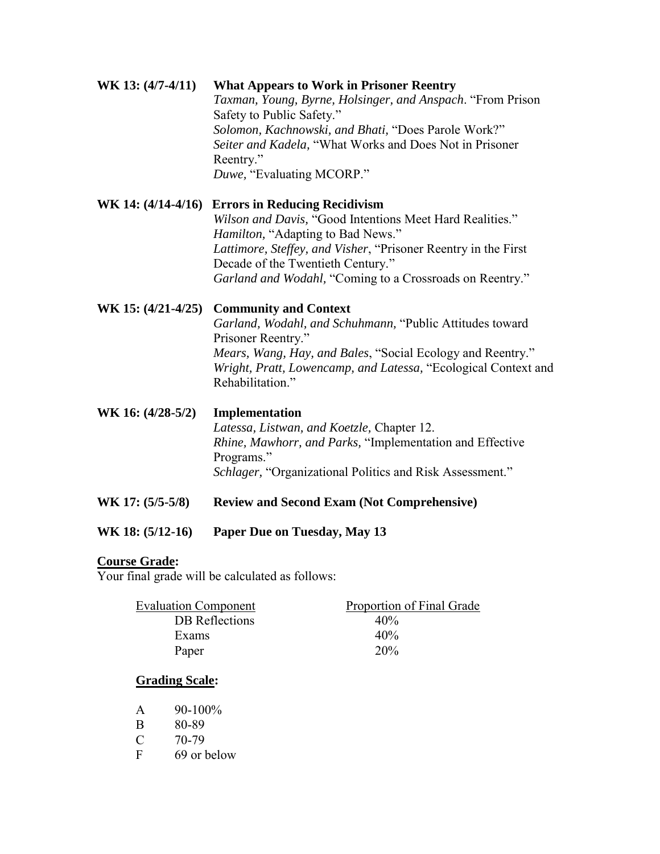#### **WK 13: (4/7-4/11) What Appears to Work in Prisoner Reentry**  *Taxman, Young, Byrne, Holsinger, and Anspach*. "From Prison Safety to Public Safety." *Solomon, Kachnowski, and Bhati,* "Does Parole Work?" *Seiter and Kadela,* "What Works and Does Not in Prisoner Reentry."

*Duwe,* "Evaluating MCORP."

# **WK 14: (4/14-4/16) Errors in Reducing Recidivism**

*Wilson and Davis,* "Good Intentions Meet Hard Realities." *Hamilton,* "Adapting to Bad News." *Lattimore, Steffey, and Visher*, "Prisoner Reentry in the First Decade of the Twentieth Century." *Garland and Wodahl,* "Coming to a Crossroads on Reentry."

## **WK 15: (4/21-4/25) Community and Context**

*Garland, Wodahl, and Schuhmann,* "Public Attitudes toward Prisoner Reentry." *Mears, Wang, Hay, and Bales*, "Social Ecology and Reentry." *Wright, Pratt, Lowencamp, and Latessa,* "Ecological Context and Rehabilitation<sup>"</sup>

**WK 16: (4/28-5/2) Implementation**  *Latessa, Listwan, and Koetzle,* Chapter 12. *Rhine, Mawhorr, and Parks,* "Implementation and Effective Programs." *Schlager,* "Organizational Politics and Risk Assessment."

- WK 17: (5/5-5/8) Review and Second Exam (Not Comprehensive)
- **WK 18: (5/12-16) Paper Due on Tuesday, May 13**

# **Course Grade:**

Your final grade will be calculated as follows:

| <b>Evaluation Component</b> | Proportion of Final Grade |
|-----------------------------|---------------------------|
| DB Reflections              | 40%                       |
| Exams                       | 40%                       |
| Paper                       | 20%                       |

## **Grading Scale:**

| $90-100%$ |
|-----------|
|           |

- B 80-89
- C 70-79
- F 69 or below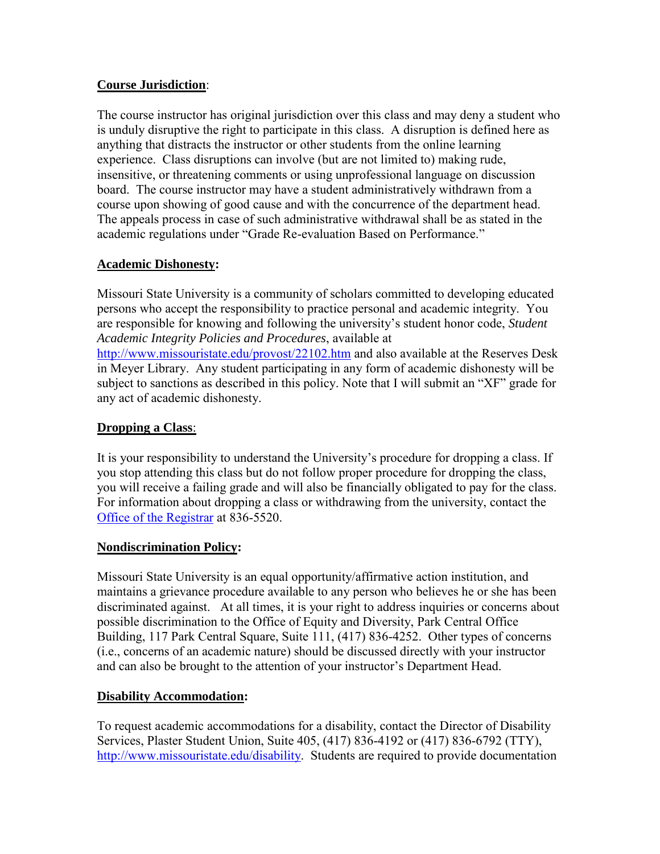## **Course Jurisdiction**:

The course instructor has original jurisdiction over this class and may deny a student who is unduly disruptive the right to participate in this class. A disruption is defined here as anything that distracts the instructor or other students from the online learning experience. Class disruptions can involve (but are not limited to) making rude, insensitive, or threatening comments or using unprofessional language on discussion board. The course instructor may have a student administratively withdrawn from a course upon showing of good cause and with the concurrence of the department head. The appeals process in case of such administrative withdrawal shall be as stated in the academic regulations under "Grade Re-evaluation Based on Performance."

# **Academic Dishonesty:**

Missouri State University is a community of scholars committed to developing educated persons who accept the responsibility to practice personal and academic integrity. You are responsible for knowing and following the university's student honor code, *Student Academic Integrity Policies and Procedures*, available at <http://www.missouristate.edu/provost/22102.htm> and also available at the Reserves Desk in Meyer Library. Any student participating in any form of academic dishonesty will be subject to sanctions as described in this policy. Note that I will submit an "XF" grade for any act of academic dishonesty.

## **Dropping a Class**:

It is your responsibility to understand the University's procedure for dropping a class. If you stop attending this class but do not follow proper procedure for dropping the class, you will receive a failing grade and will also be financially obligated to pay for the class. For information about dropping a class or withdrawing from the university, contact the [Office of the Registrar](http://www.missouristate.edu/registrar/) at 836-5520.

## **Nondiscrimination Policy:**

Missouri State University is an equal opportunity/affirmative action institution, and maintains a grievance procedure available to any person who believes he or she has been discriminated against. At all times, it is your right to address inquiries or concerns about possible discrimination to the Office of Equity and Diversity, Park Central Office Building, 117 Park Central Square, Suite 111, (417) 836-4252. Other types of concerns (i.e., concerns of an academic nature) should be discussed directly with your instructor and can also be brought to the attention of your instructor's Department Head.

# **Disability Accommodation:**

To request academic accommodations for a disability, contact the Director of Disability Services, Plaster Student Union, Suite 405, (417) 836-4192 or (417) 836-6792 (TTY), [http://www.missouristate.edu/disability.](http://www.missouristate.edu/disability) Students are required to provide documentation